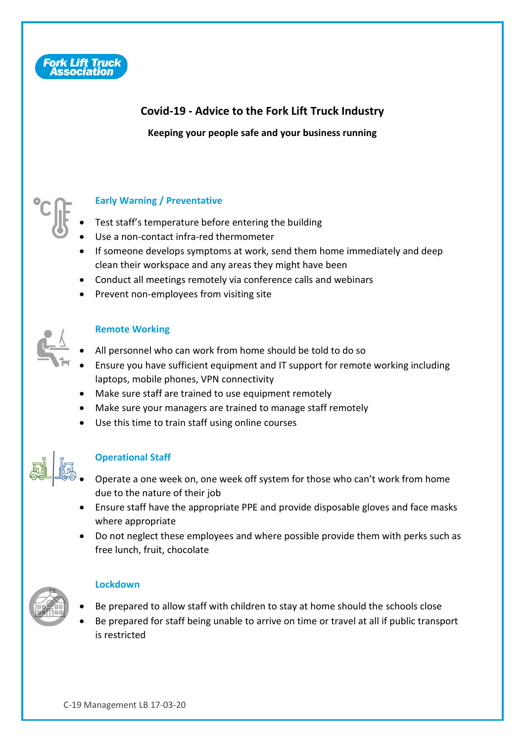

# **Covid-19 - Advice to the Fork Lift Truck Industry**

**Keeping your people safe and your business running**



## **Early Warning / Preventative**

- Test staff's temperature before entering the building
- Use a non-contact infra-red thermometer
- If someone develops symptoms at work, send them home immediately and deep clean their workspace and any areas they might have been
- Conduct all meetings remotely via conference calls and webinars
- Prevent non-employees from visiting site



#### **Remote Working**

- All personnel who can work from home should be told to do so
- Ensure you have sufficient equipment and IT support for remote working including laptops, mobile phones, VPN connectivity
- Make sure staff are trained to use equipment remotely
- Make sure your managers are trained to manage staff remotely
- Use this time to train staff using online courses



## **Operational Staff**

- Operate a one week on, one week off system for those who can't work from home due to the nature of their job
- Ensure staff have the appropriate PPE and provide disposable gloves and face masks where appropriate
- Do not neglect these employees and where possible provide them with perks such as free lunch, fruit, chocolate



## **Lockdown**

- Be prepared to allow staff with children to stay at home should the schools close
- Be prepared for staff being unable to arrive on time or travel at all if public transport is restricted